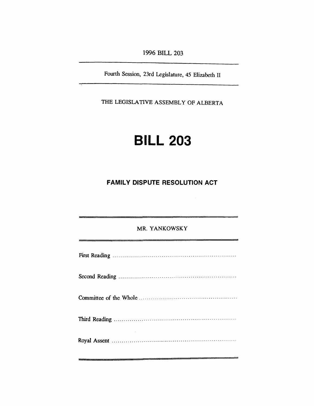*1996 BILL 203*

*Fourth Session, 23rd Legislature, 45 Elizabeth II*

*THE LEGISLATIVE ASSEMBLY OF ALBERTA*

# *BILL 203*

## *FAMILY DISPUTE RESOLUTION ACT*

| MR. YANKOWSKY |  |
|---------------|--|
|               |  |
|               |  |
|               |  |
|               |  |
|               |  |
|               |  |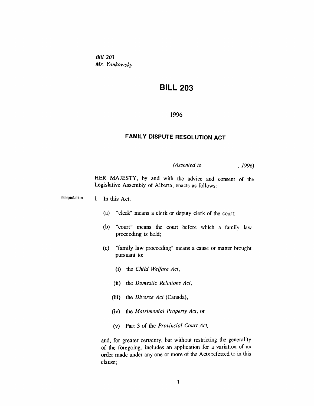*Bill 203 Mr. Yankowsky*

# *BILL 203*

#### *1996*

### *FAMILY DISPUTE RESOLUTION ACT*

*(Assented to , 1996)*

*HER MAJESTY, by and with the advice and consent of the Legislative Assembly of Alberta, enacts as follows:*

*Interpretation 1 In this Act,*

- *(a) "clerk" means a clerk or deputy clerk of the court;*
- *(b) "court" means the court before which a family law proceeding is held;*
- *(c) "family law proceeding" means a cause or matter brought pursuant to:*
	- *(i) the Child Welfare Act,*
	- *(ii) the Domestic Relations Act,*
	- *(iii) the Divorce Act (Canada),*
	- *(iv) the Matrimonial Property Act, or*
	- *(v) Part 3 of the Provincial Court Act,*

*and, for greater certainty, but without restricting the generality of the foregoing, includes an application for a variation of an order made under any one or more of the Acts referred to in this clause;*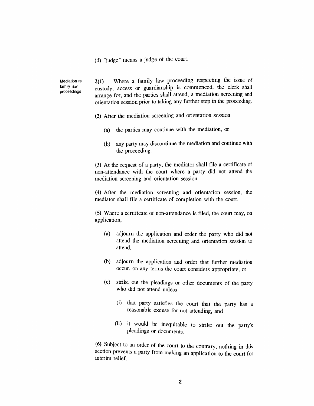*(d) "judge" means a judge of the court.*

*Mediation re family law proceedings*

*2(1) Where a family law proceeding respecting the issue of custody, access or guardianship is commenced, the clerk shall arrange for, and the parties shall attend, a mediation screening and orientation session prior to taking any further step in the proceeding.*

- *(2) After the mediation screening and orientation session*
	- *(a) the parties may continue with the mediation, or*
	- *(b) any party may discontinue the mediation and continue with the proceeding.*

*(3) At the request of a party, the mediator shall file a certificate of non-attendance with the court where a party did not attend the mediation screening and orientation session.*

*(4) After the mediation screening and orientation session, the mediator shall file a certificate of completion with the court.*

*(5) Where a certificate of non-attendance is filed, the court may, on application,*

- *(a) adjourn the application and order the party who did not attend the mediation screening and orientation session to attend,*
- *(b) adjourn the application and order that further mediation occur, on any terms the court considers appropriate, or*
- *(c) strike out the pleadings or other documents of the party who did not attend unless*
	- *(i) that party satisfies the court that the party has a reasonable excuse for not attending, and*
	- *(ii) it would be inequitable to strike out the party's pleadings or documents.*

*(6) Subject to an order of the court to the contrary, nothing in this section prevents a party from making an application to the court for interim relief.*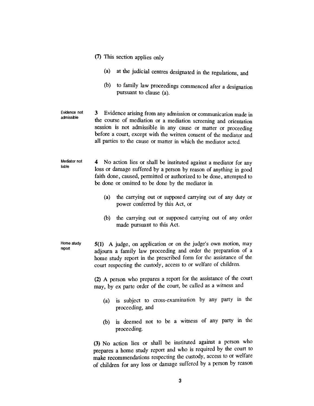- *(7) This section applies only*
	- *(a) at the judicial centres designated in the regulations, and*
	- *(b) to family law proceedings commenced after a designation pursuant to clause (a).*
- *Evidence not admissible 3 Evidence arising from any admission or communication made in the course of mediation or a mediation screening and orientation session is not admissible in any cause or matter or proceeding before a court, except with the written consent of the mediator and all parties to the cause or matter in which the mediator acted.*
- *Mediator not liable 4 No action lies or shall be instituted against a mediator for any loss or damage suffered by a person by reason of anything in good faith done, caused, permitted or authorized to be done, attempted to be done or omitted to be done by the mediator in*
	- *(a) the carrying out or supposed carrying out of any duty or power conferred by this Act, or*
	- *(b) the carrying out or supposed carrying out of any order made pursuant to this Act.*
- *Home study report 5(1) A judge, on application or on the judge's own motion, may adjourn a family law proceeding and order the preparation of a home study report in the prescribed form for the assistance of the court respecting the custody, access to or welfare of children.*

*(2) A person who prepares a report for the assistance of the court may, by ex parte order of the court, be called as a witness and*

- *(a) is subject to cross-examination by any party in the proceeding, and*
- *(b) is deemed not to be a witness of any party in the proceeding.*

*(3) No action lies or shall be instituted against a person who prepares a home study report and who is required by the court to make recommendations respecting the custody, access to or welfare of children for any loss or damage suffered by a person by reason*